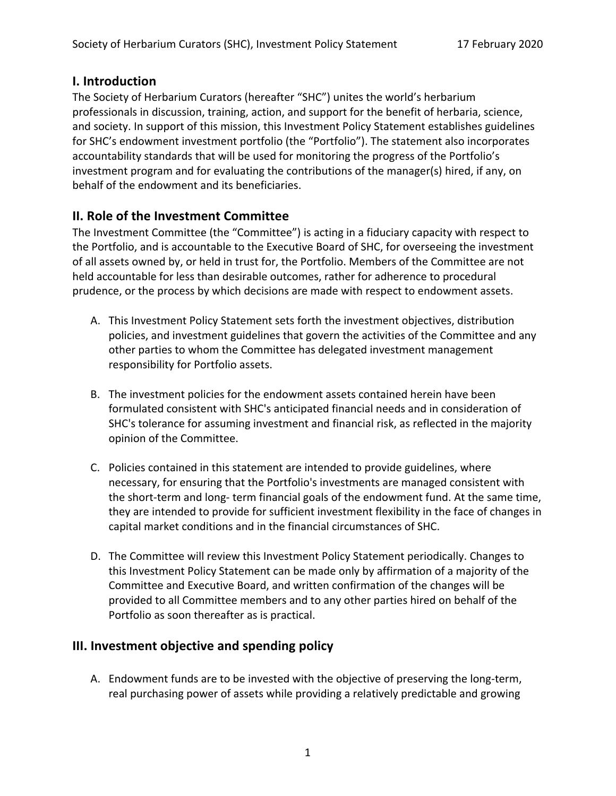#### **I. Introduction**

The Society of Herbarium Curators (hereafter "SHC") unites the world's herbarium professionals in discussion, training, action, and support for the benefit of herbaria, science, and society. In support of this mission, this Investment Policy Statement establishes guidelines for SHC's endowment investment portfolio (the "Portfolio"). The statement also incorporates accountability standards that will be used for monitoring the progress of the Portfolio's investment program and for evaluating the contributions of the manager(s) hired, if any, on behalf of the endowment and its beneficiaries.

## **II. Role of the Investment Committee**

The Investment Committee (the "Committee") is acting in a fiduciary capacity with respect to the Portfolio, and is accountable to the Executive Board of SHC, for overseeing the investment of all assets owned by, or held in trust for, the Portfolio. Members of the Committee are not held accountable for less than desirable outcomes, rather for adherence to procedural prudence, or the process by which decisions are made with respect to endowment assets.

- A. This Investment Policy Statement sets forth the investment objectives, distribution policies, and investment guidelines that govern the activities of the Committee and any other parties to whom the Committee has delegated investment management responsibility for Portfolio assets.
- B. The investment policies for the endowment assets contained herein have been formulated consistent with SHC's anticipated financial needs and in consideration of SHC's tolerance for assuming investment and financial risk, as reflected in the majority opinion of the Committee.
- C. Policies contained in this statement are intended to provide guidelines, where necessary, for ensuring that the Portfolio's investments are managed consistent with the short-term and long- term financial goals of the endowment fund. At the same time, they are intended to provide for sufficient investment flexibility in the face of changes in capital market conditions and in the financial circumstances of SHC.
- D. The Committee will review this Investment Policy Statement periodically. Changes to this Investment Policy Statement can be made only by affirmation of a majority of the Committee and Executive Board, and written confirmation of the changes will be provided to all Committee members and to any other parties hired on behalf of the Portfolio as soon thereafter as is practical.

# **III. Investment objective and spending policy**

A. Endowment funds are to be invested with the objective of preserving the long-term, real purchasing power of assets while providing a relatively predictable and growing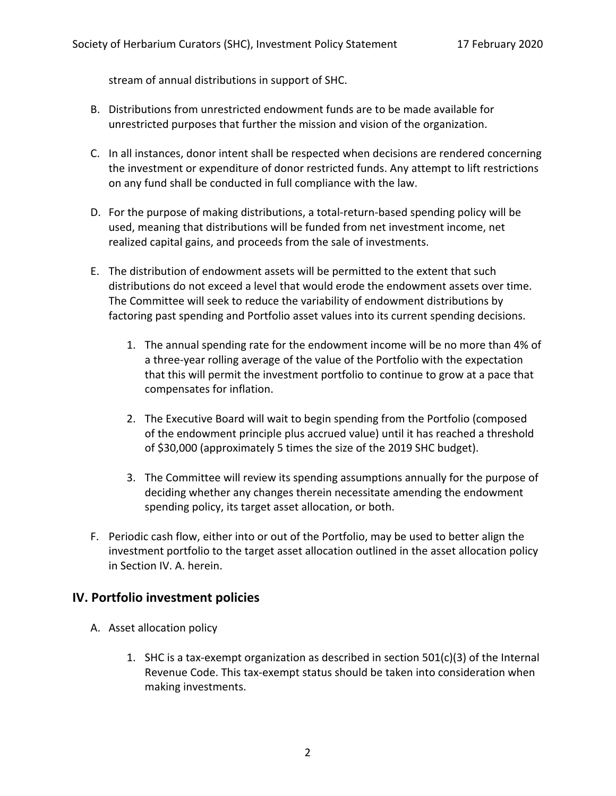stream of annual distributions in support of SHC.

- B. Distributions from unrestricted endowment funds are to be made available for unrestricted purposes that further the mission and vision of the organization.
- C. In all instances, donor intent shall be respected when decisions are rendered concerning the investment or expenditure of donor restricted funds. Any attempt to lift restrictions on any fund shall be conducted in full compliance with the law.
- D. For the purpose of making distributions, a total-return-based spending policy will be used, meaning that distributions will be funded from net investment income, net realized capital gains, and proceeds from the sale of investments.
- E. The distribution of endowment assets will be permitted to the extent that such distributions do not exceed a level that would erode the endowment assets over time. The Committee will seek to reduce the variability of endowment distributions by factoring past spending and Portfolio asset values into its current spending decisions.
	- 1. The annual spending rate for the endowment income will be no more than 4% of a three-year rolling average of the value of the Portfolio with the expectation that this will permit the investment portfolio to continue to grow at a pace that compensates for inflation.
	- 2. The Executive Board will wait to begin spending from the Portfolio (composed of the endowment principle plus accrued value) until it has reached a threshold of \$30,000 (approximately 5 times the size of the 2019 SHC budget).
	- 3. The Committee will review its spending assumptions annually for the purpose of deciding whether any changes therein necessitate amending the endowment spending policy, its target asset allocation, or both.
- F. Periodic cash flow, either into or out of the Portfolio, may be used to better align the investment portfolio to the target asset allocation outlined in the asset allocation policy in Section IV. A. herein.

## **IV. Portfolio investment policies**

- A. Asset allocation policy
	- 1. SHC is a tax-exempt organization as described in section 501(c)(3) of the Internal Revenue Code. This tax-exempt status should be taken into consideration when making investments.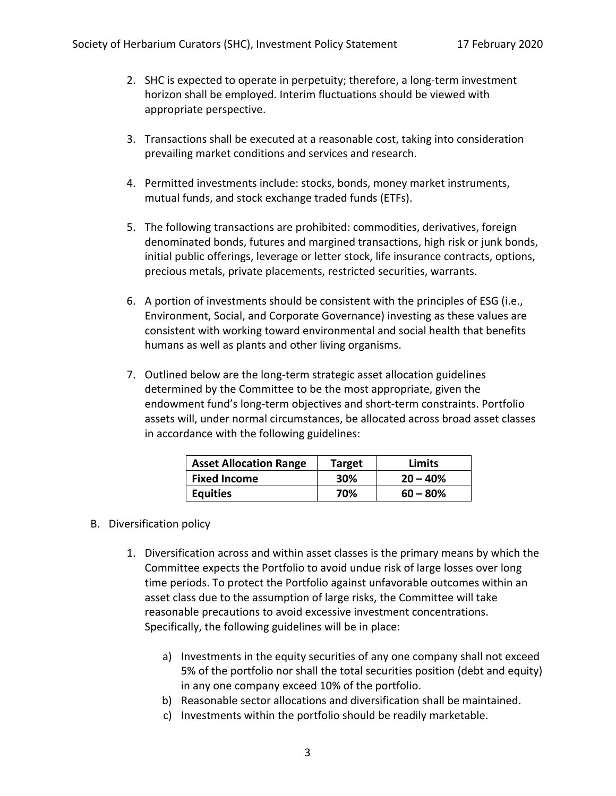- 2. SHC is expected to operate in perpetuity; therefore, a long-term investment horizon shall be employed. Interim fluctuations should be viewed with appropriate perspective.
- 3. Transactions shall be executed at a reasonable cost, taking into consideration prevailing market conditions and services and research.
- 4. Permitted investments include: stocks, bonds, money market instruments, mutual funds, and stock exchange traded funds (ETFs).
- 5. The following transactions are prohibited: commodities, derivatives, foreign denominated bonds, futures and margined transactions, high risk or junk bonds, initial public offerings, leverage or letter stock, life insurance contracts, options, precious metals, private placements, restricted securities, warrants.
- 6. A portion of investments should be consistent with the principles of ESG (i.e., Environment, Social, and Corporate Governance) investing as these values are consistent with working toward environmental and social health that benefits humans as well as plants and other living organisms.
- 7. Outlined below are the long-term strategic asset allocation guidelines determined by the Committee to be the most appropriate, given the endowment fund's long-term objectives and short-term constraints. Portfolio assets will, under normal circumstances, be allocated across broad asset classes in accordance with the following guidelines:

| <b>Asset Allocation Range</b> | <b>Target</b> | Limits      |
|-------------------------------|---------------|-------------|
| <b>Fixed Income</b>           | 30%           | $20 - 40%$  |
| <b>Equities</b>               | 70%           | $60 - 80\%$ |

#### B. Diversification policy

- 1. Diversification across and within asset classes is the primary means by which the Committee expects the Portfolio to avoid undue risk of large losses over long time periods. To protect the Portfolio against unfavorable outcomes within an asset class due to the assumption of large risks, the Committee will take reasonable precautions to avoid excessive investment concentrations. Specifically, the following guidelines will be in place:
	- a) Investments in the equity securities of any one company shall not exceed 5% of the portfolio nor shall the total securities position (debt and equity) in any one company exceed 10% of the portfolio.
	- b) Reasonable sector allocations and diversification shall be maintained.
	- c) Investments within the portfolio should be readily marketable.